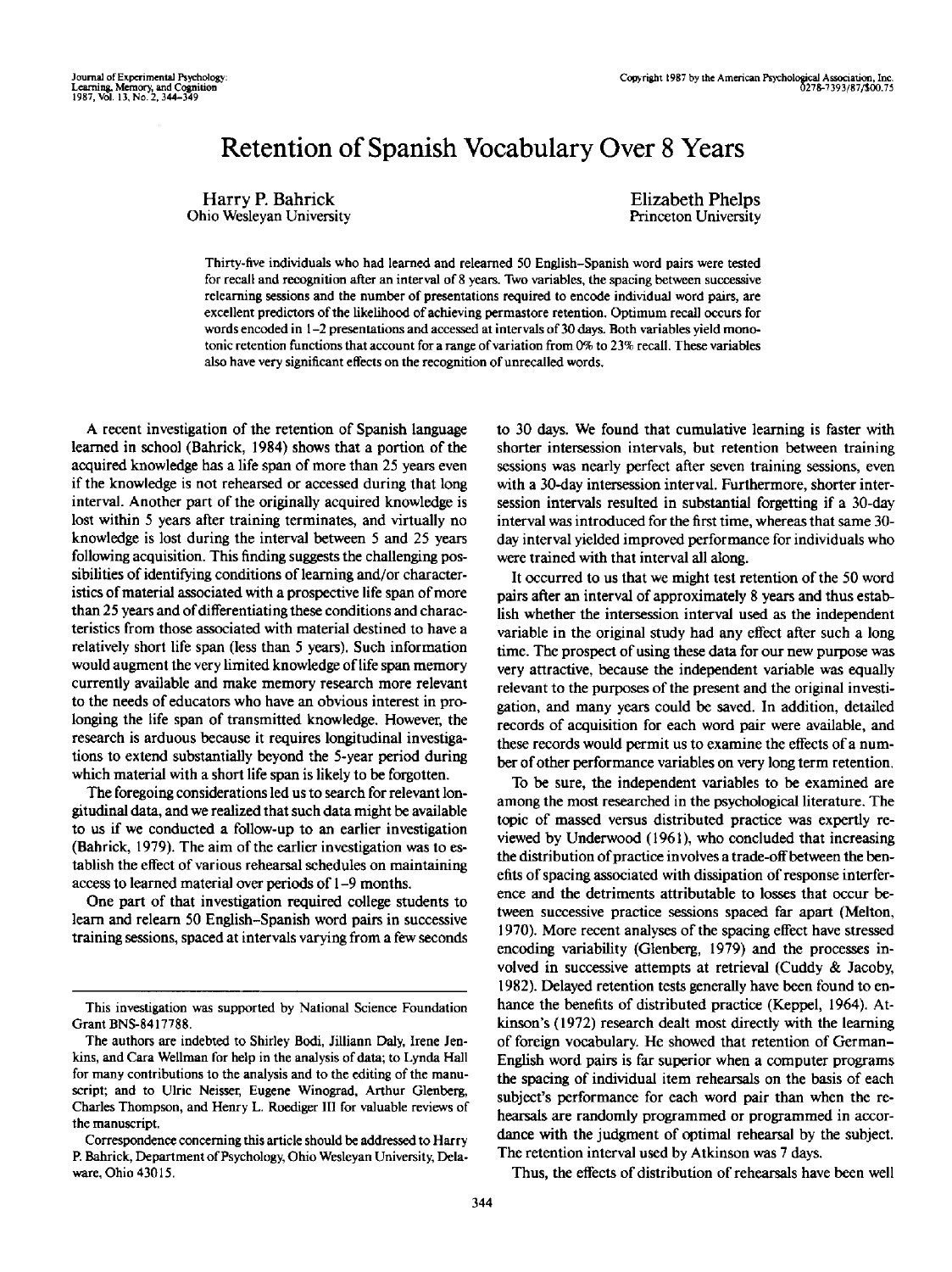# Retention of Spanish Vocabulary Over 8 Years

Harry P. Bahrick Ohio Wesleyan University Elizabeth Phelps Princeton University

Thirty-five individuals who had learned and relearaed 50 English-Spanish word pairs were tested for recall and recognition after an interval of 8 years. Two variables, the spacing between successive releaming sessions and the number of presentations required to encode individual word pairs, are excellent predictors of the likelihood of achieving permastore retention. Optimum recall occurs for words encoded in 1-2 presentations and accessed at intervals of 30 days. Both variables yield monotonic retention functions that account for a range of variation from 0% to 23% recall. These variables also have very significant effects on the recognition of unrecalled words.

A recent investigation of the retention of Spanish language learned in school (Bahrick, 1984) shows that a portion of the acquired knowledge has a life span of more than 25 years even if the knowledge is not rehearsed or accessed during that long interval. Another part of the originally acquired knowledge is lost within 5 years after training terminates, and virtually no knowledge is lost during the interval between 5 and 25 years following acquisition. This finding suggests the challenging possibilities of identifying conditions of learning and/or characteristics of material associated with a prospective life span of more than 25 years and of differentiating these conditions and characteristics from those associated with material destined to have a relatively short life span (less than 5 years). Such information would augment the very limited knowledge of life span memory currently available and make memory research more relevant to the needs of educators who have an obvious interest in prolonging the life span of transmitted knowledge. However, the research is arduous because it requires longitudinal investigations to extend substantially beyond the 5-year period during which material with a short life span is likely to be forgotten.

The foregoing considerations led us to search for relevant longitudinal data, and we realized that such data might be available to us if we conducted a follow-up to an earlier investigation (Bahrick, 1979). The aim of the earlier investigation was to establish the effect of various rehearsal schedules on maintaining access to learned material over periods of 1 -9 months.

One part of that investigation required college students to learn and relearn 50 English-Spanish word pairs in successive training sessions, spaced at intervals varying from a few seconds to 30 days. We found that cumulative learning is faster with shorter intersession intervals, but retention between training sessions was nearly perfect after seven training sessions, even with a 30-day intersession interval. Furthermore, shorter intersession intervals resulted in substantial forgetting if a 30-day interval was introduced for the first time, whereas that same 30 day interval yielded improved performance for individuals who were trained with that interval all along.

It occurred to us that we might test retention of the 50 word pairs after an interval of approximately 8 years and thus establish whether the intersession interval used as the independent variable in the original study had any effect after such a long time. The prospect of using these data for our new purpose was very attractive, because the independent variable was equally relevant to the purposes of the present and the original investigation, and many years could be saved. In addition, detailed records of acquisition for each word pair were available, and these records would permit us to examine the effects of a number of other performance variables on very long term retention.

To be sure, the independent variables to be examined are among the most researched in the psychological literature. The topic of massed versus distributed practice was expertly reviewed by Underwood (1961), who concluded that increasing the distribution of practice involves a trade-off between the benefits of spacing associated with dissipation of response interference and the detriments attributable to losses that occur between successive practice sessions spaced far apart (Melton, 1970). More recent analyses of the spacing effect have stressed encoding variability (Glenberg, 1979) and the processes involved in successive attempts at retrieval (Cuddy & Jacoby, 1982). Delayed retention tests generally have been found to enhance the benefits of distributed practice (Keppel, 1964). Atkinson's (1972) research dealt most directly with the learning of foreign vocabulary. He showed that retention of German-English word pairs is far superior when a computer programs the spacing of individual item rehearsals on the basis of each subject's performance for each word pair than when the rehearsals are randomly programmed or programmed in accordance with the judgment of optimal rehearsal by the subject. The retention interval used by Atkinson was 7 days.

Thus, the effects of distribution of rehearsals have been well

This investigation was supported by National Science Foundation Grant BNS-8417788.

The authors are indebted to Shirley Bodi, Jilliann Daly, Irene Jenkins, and Cara Wellman for help in the analysis of data; to Lynda Hall for many contributions to the analysis and to the editing of the manuscript; and to Ulric Neisser, Eugene Winograd, Arthur Glenberg, Charles Thompson, and Henry L. Roediger III for valuable reviews of the manuscript.

Correspondence concerning this article should be addressed to Harry P. Bahrick, Department of Psychology, Ohio Wesleyan University, Delaware, Ohio 43015.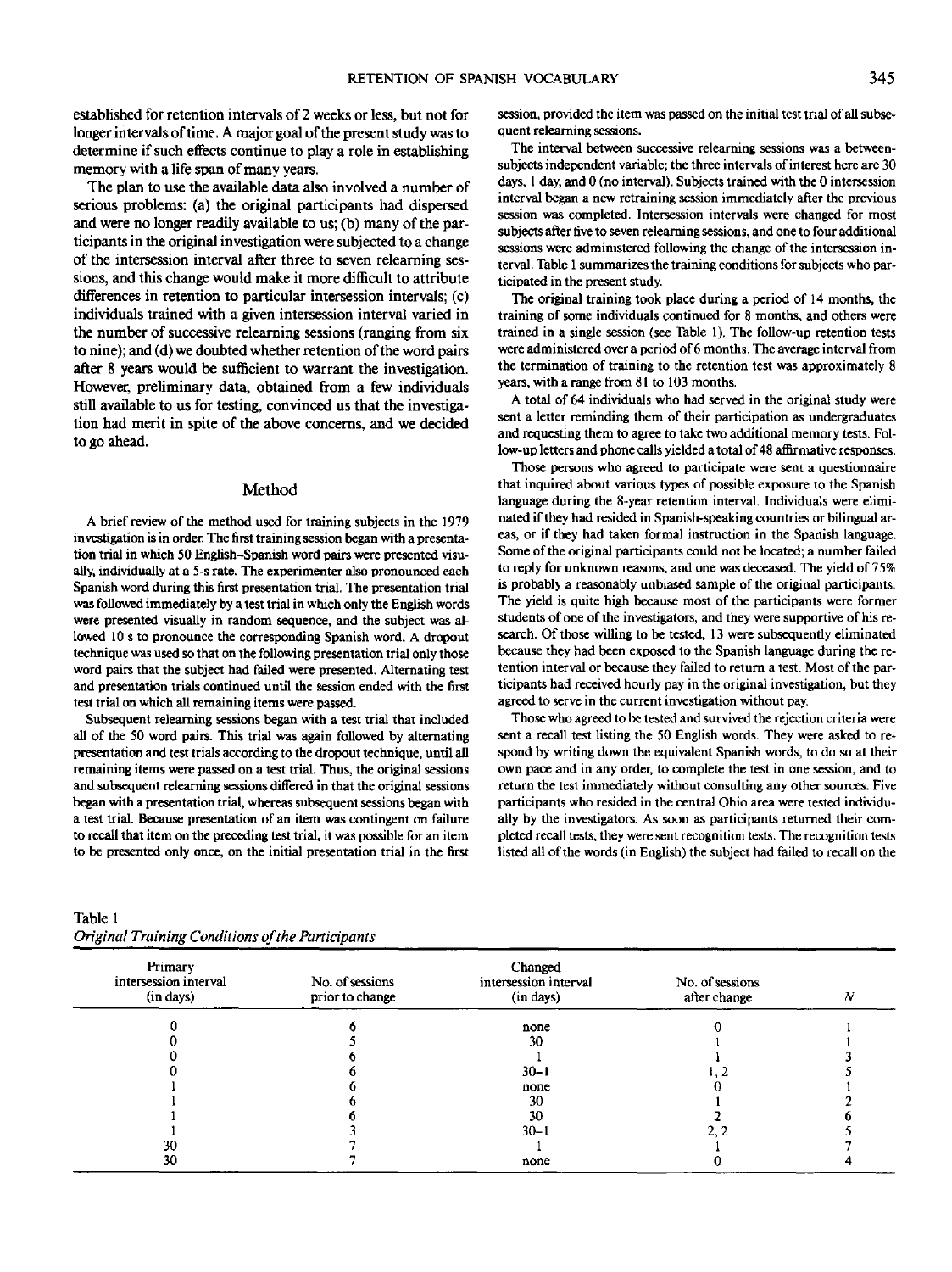established for retention intervals of 2 weeks or less, but not for longer intervals of time. A major goal of the present study was to determine if such effects continue to play a role in establishing memory with a life span of many years.

The plan to use the available data also involved a number of serious problems: (a) the original participants had dispersed and were no longer readily available to us; (b) many of the participants in the original investigation were subjected to a change of the intercession interval after three to seven relearning sessions, and this change would make it more difficult to attribute differences in retention to particular intersession intervals; (c) individuals trained with a given intersession interval varied in the number of successive relearning sessions (ranging from six to nine); and (d) we doubted whether retention of the word pairs after 8 years would be sufficient to warrant the investigation. However, preliminary data, obtained from a few individuals still available to us for testing, convinced us that the investigation had merit in spite of the above concerns, and we decided to go ahead.

#### Method

A brief review of the method used for training subjects in the 1979 investigation is in order. The first training session began with a presentation trial in which 50 English-Spanish word pairs were presented visually, individually at a 5-s rate. The experimenter also pronounced each Spanish word during this first presentation trial. The presentation trial was followed immediately by a test trial in which only the English words were presented visually in random sequence, and the subject was allowed 10 s to pronounce the corresponding Spanish word. A dropout technique was used so that on the following presentation trial only those word pairs that the subject had failed were presented. Alternating test and presentation trials continued until the session ended with the first test trial on which all remaining items were passed.

Subsequent relearning sessions began with a test trial that included all of the 50 word pairs. This trial was again followed by alternating presentation and test trials according to the dropout technique, until all remaining items were passed on a test trial. Thus, the original sessions and subsequent relearning sessions differed in that the original sessions began with a presentation trial, whereas subsequent sessions began with a test trial. Because presentation of an item was contingent on failure to recall that item on the preceding test trial, it was possible for an item to be presented only once, on the initial presentation trial in the first

The interval between successive relearning sessions was a betweensubjects independent variable; the three intervals of interest here are 30

quent relearning sessions.

days, 1 day, and 0 (no interval). Subjects trained with the 0 intersession interval began a new retraining session immediately after the previous session was completed. Intersession intervals were changed for most subjects after five to seven relearning sessions, and one to four additional sessions were administered following the change of the intersession interval. Table 1 summarizes the training conditions for subjects who participated in the present study.

session, provided the item was passed on the initial test trial of all subse-

The original training took place during a period of 14 months, the training of some individuals continued for 8 months, and others were trained in a single session (see Table 1). The follow-up retention tests were administered over a period of 6 months. The average interval from the termination of training to the retention test was approximately 8 years, with a range from 81 to 103 months.

A total of 64 individuals who had served in the original study were sent a letter reminding them of their participation as undergraduates and requesting them to agree to take two additional memory tests. Follow-up letters and phone calls yielded a total of 48 affirmative responses.

Those persons who agreed to participate were sent a questionnaire that inquired about various types of possible exposure to the Spanish language during the 8-year retention interval. Individuals were eliminated if they had resided in Spanish-speaking countries or bilingual areas, or if they had taken formal instruction in the Spanish language. Some of the original participants could not be located; a number failed to reply for unknown reasons, and one was deceased. The yield of 75% is probably a reasonably unbiased sample of the original participants. The yield is quite high because most of the participants were former students of one of the investigators, and they were supportive of his research. Of those willing to be tested, 13 were subsequently eliminated because they had been exposed to the Spanish language during the retention interval or because they failed to return a test. Most of the participants had received hourly pay in the original investigation, but they agreed to serve in the current investigation without pay.

Those who agreed to be tested and survived the rejection criteria were sent a recall test listing the 50 English words. They were asked to respond by writing down the equivalent Spanish words, to do so at their own pace and in any order, to complete the test in one session, and to return the test immediately without consulting any other sources. Five participants who resided in the central Ohio area were tested individually by the investigators. As soon as participants returned their completed recall tests, they were sent recognition tests. The recognition tests listed all of the words (in English) the subject had failed to recall on the

| Primary<br>intersession interval<br>(in days) | No. of sessions<br>prior to change | Changed<br>intersession interval<br>(in days) | No. of sessions<br>after change | N |
|-----------------------------------------------|------------------------------------|-----------------------------------------------|---------------------------------|---|
|                                               |                                    | none                                          |                                 |   |
|                                               |                                    | 30                                            |                                 |   |
|                                               |                                    |                                               |                                 |   |
|                                               |                                    | $30 - 1$                                      |                                 |   |
|                                               |                                    | none                                          |                                 |   |
|                                               |                                    | 30                                            |                                 |   |
|                                               |                                    | 30                                            |                                 |   |
|                                               |                                    | $30 - 1$                                      |                                 |   |
| 30                                            |                                    |                                               |                                 |   |
| 30                                            |                                    | none                                          |                                 |   |

Table 1 *Original Training Conditions of the Participants*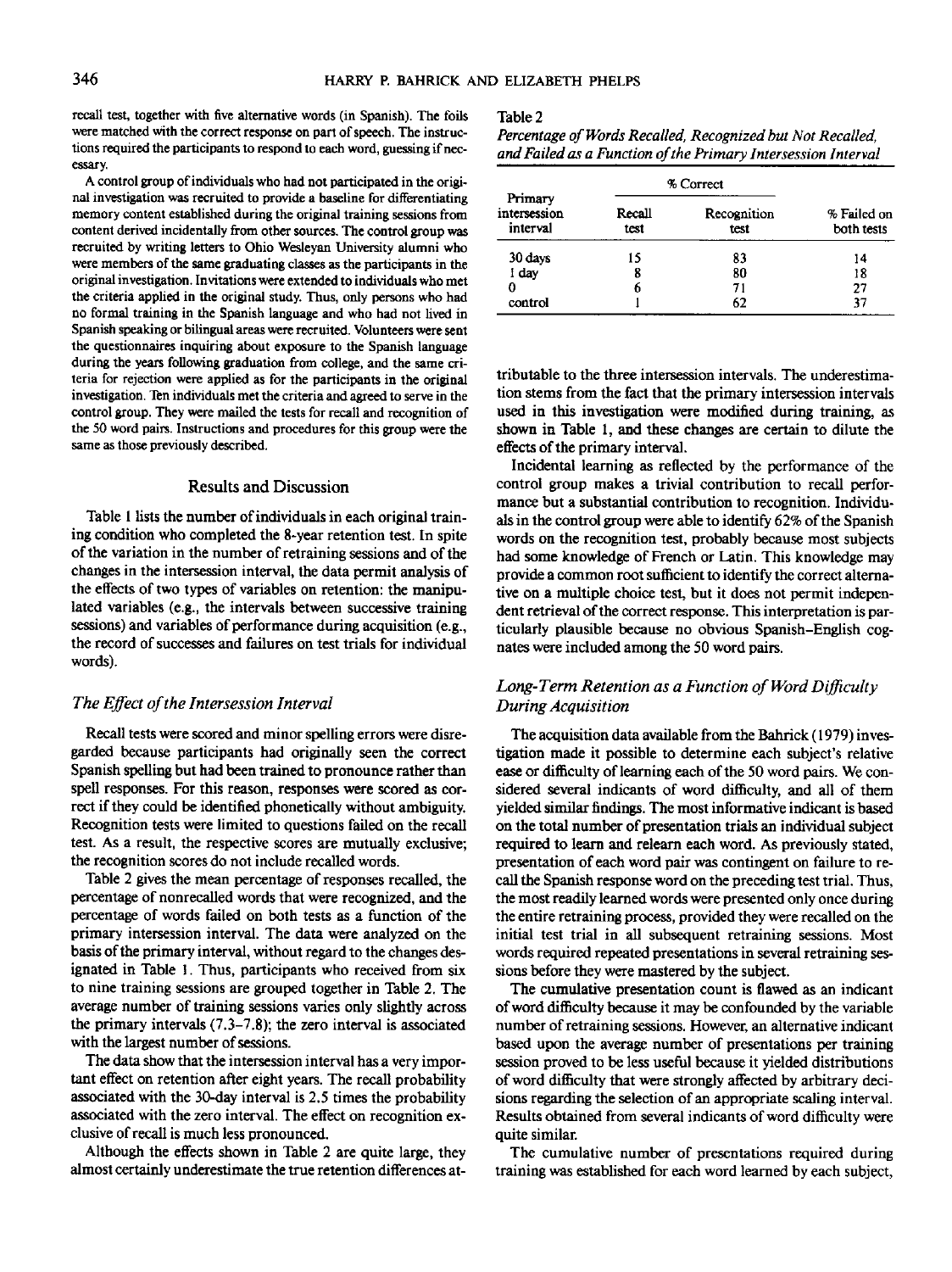recall test, together with five alternative words (in Spanish). The foils were matched with the correct response on part of speech. The instructions required the participants to respond to each word, guessing if necessary.

A control group of individuals who had not participated in the original investigation was recruited to provide a baseline for differentiating memory content established during the original training sessions from content derived incidentally from other sources. The control group was recruited by writing letters to Ohio Wesleyan University alumni who were members of the same graduating classes as the participants in the original investigation. Invitations were extended to individuals who met the criteria applied in the original study. Thus, only persons who had no formal training in the Spanish language and who had not lived in Spanish speaking or bilingual areas were recruited. Volunteers were sent the questionnaires inquiring about exposure to the Spanish language during the years following graduation from college, and the same criteria for rejection were applied as for the participants in the original investigation. Ten individuals met the criteria and agreed to serve in the control group. They were mailed the tests for recall and recognition of the 50 word pairs. Instructions and procedures for this group were the same as those previously described.

### Results and Discussion

Table 1 lists the number of individuals in each original training condition who completed the 8-year retention test. In spite of the variation in the number of retraining sessions and of the changes in the intersession interval, the data permit analysis of the effects of two types of variables on retention: the manipulated variables (e.g., the intervals between successive training sessions) and variables of performance during acquisition (e.g., the record of successes and failures on test trials for individual words).

#### *The Effect of the Intersession Interval*

Recall tests were scored and minor spelling errors were disregarded because participants had originally seen the correct Spanish spelling but had been trained to pronounce rather than spell responses. For this reason, responses were scored as correct if they could be identified phonetically without ambiguity. Recognition tests were limited to questions failed on the recall test. As a result, the respective scores are mutually exclusive; the recognition scores do not include recalled words.

Table 2 gives the mean percentage of responses recalled, the percentage of non recalled words that were recognized, and the percentage of words failed on both tests as a function of the primary intersession interval. The data were analyzed on the basis of the primary interval, without regard to the changes designated in Table 1. Thus, participants who received from six to nine training sessions are grouped together in Table 2. The average number of training sessions varies only slightly across the primary intervals (7.3-7.8); the zero interval is associated with the largest number of sessions.

The data show that the intersession interval has a very important effect on retention after eight years. The recall probability associated with the 30-day interval is 2.5 times the probability associated with the zero interval. The effect on recognition exclusive of recall is much less pronounced.

Although the effects shown in Table 2 are quite large, they almost certainly underestimate the true retention differences at-

#### Table2

| Percentage of Words Recalled, Recognized but Not Recalled,    |  |
|---------------------------------------------------------------|--|
| and Failed as a Function of the Primary Intersession Interval |  |

|                                     |                | % Correct           |                           |
|-------------------------------------|----------------|---------------------|---------------------------|
| Primary<br>intersession<br>interval | Recall<br>test | Recognition<br>test | % Failed on<br>both tests |
| 30 days                             | 15             | 83                  | 14                        |
| I day                               | 8              | 80                  | 18                        |
|                                     | 6              | 71                  | 27                        |
| control                             |                | 62                  | 37                        |

tributable to the three intersession intervals. The underestimation stems from the fact that the primary intersession intervals used in this investigation were modified during training, as shown in Table 1, and these changes are certain to dilute the effects of the primary interval.

Incidental learning as reflected by the performance of the control group makes a trivial contribution to recall performance but a substantial contribution to recognition. Individuals in the control group were able to identify 62% of the Spanish words on the recognition test, probably because most subjects had some knowledge of French or Latin. This knowledge may provide a common root sufficient to identify the correct alternative on a multiple choice test, but it does not permit independent retrieval of the correct response. This interpretation is particularly plausible because no obvious Spanish-English cognates were included among the 50 word pairs.

## *Long- Term Retention as a Function of Word Difficulty During Acquisition*

The acquisition data available from the Bahrick (1979) investigation made it possible to determine each subject's relative ease or difficulty of learning each of the 50 word pairs. We considered several indicants of word difficulty, and all of them yielded similar findings. The most informative indicant is based on the total number of presentation trials an individual subject required to learn and relearn each word. As previously stated, presentation of each word pair was contingent on failure to recall the Spanish response word on the preceding test trial. Thus, the most readily learned words were presented only once during the entire retraining process, provided they were recalled on the initial test trial in all subsequent retraining sessions. Most words required repeated presentations in several retraining sessions before they were mastered by the subject.

The cumulative presentation count is flawed as an indicant of word difficulty because it may be confounded by the variable number of retraining sessions. However, an alternative indicant based upon the average number of presentations per training session proved to be less useful because it yielded distributions of word difficulty that were strongly affected by arbitrary decisions regarding the selection of an appropriate scaling interval. Results obtained from several indicants of word difficulty were quite similar.

The cumulative number of presentations required during training was established for each word learned by each subject,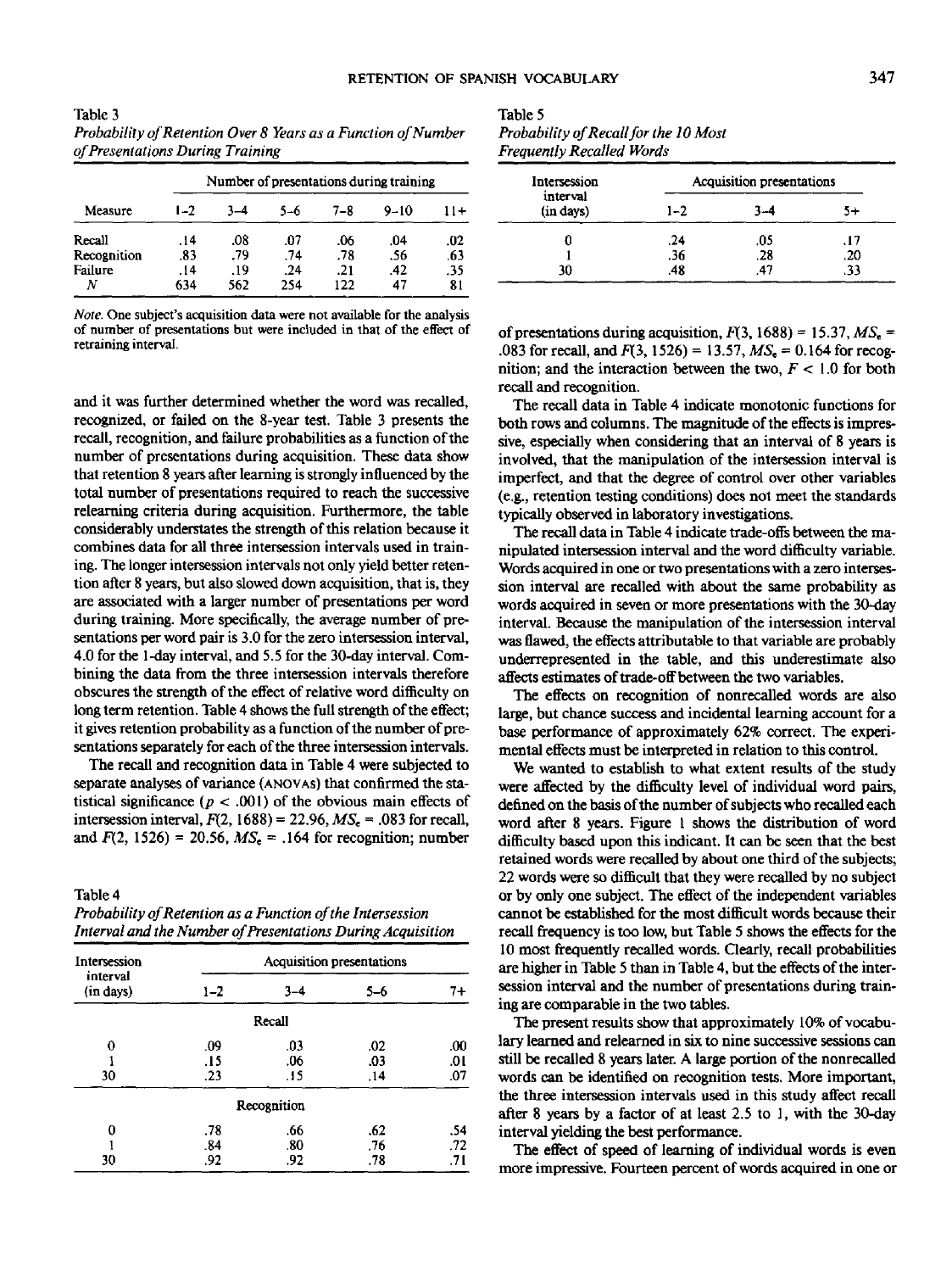| Table 3                                                       |
|---------------------------------------------------------------|
| Probability of Retention Over 8 Years as a Function of Number |
| of Presentations During Training                              |

|             | Number of presentations during training |         |     |         |          |       |
|-------------|-----------------------------------------|---------|-----|---------|----------|-------|
| Measure     | $1 - 2$                                 | $3 - 4$ | 5-6 | $7 - 8$ | $9 - 10$ | $11+$ |
| Recall      | .14                                     | .08     | .07 | .06     | .04      | .02   |
| Recognition | .83                                     | .79     | .74 | .78     | .56      | .63   |
| Failure     | .14                                     | .19     | .24 | .21     | .42      | .35   |
|             | 634                                     | 562     | 254 | 122     | 47       | 81    |

*Note.* One subject's acquisition data were not available for the analysis of number of presentations but were included in that of the effect of retraining interval.

and it was further determined whether the word was recalled, recognized, or failed on the 8-year test. Table 3 presents the recall, recognition, and failure probabilities as a function of the number of presentations during acquisition. These data show that retention 8 years after learning is strongly influenced by the total number of presentations required to reach the successive releaming criteria during acquisition. Furthermore, the table considerably understates the strength of this relation because it combines data for all three intersession intervals used in training. The longer intersession intervals not only yield better retention after 8 years, but also slowed down acquisition, that is, they are associated with a larger number of presentations per word during training. More specifically, the average number of presentations per word pair is 3.0 for the zero intersession interval, 4.0 for the 1-day interval, and 5.5 for the 30-day interval. Combining the data from the three intersession intervals therefore obscures the strength of the effect of relative word difficulty on long term retention. Table 4 shows the full strength of the effect; it gives retention probability as a function of the number of presentations separately for each of the three intersession intervals.

The recall and recognition data in Table 4 were subjected to separate analyses of variance (ANOVAS) that confirmed the statistical significance  $(p < .001)$  of the obvious main effects of intersession interval,  $F(2, 1688) = 22.96$ ,  $MS<sub>c</sub> = .083$  for recall, and  $F(2, 1526) = 20.56$ ,  $MS_r = 164$  for recognition; number

Table 4

*Probability of Retention as a Function of the Intersession Interval and the Number of Presentations During Acquisition*

| Intersession          | Acquisition presentations |             |         |     |  |
|-----------------------|---------------------------|-------------|---------|-----|--|
| interval<br>(in days) | $1 - 2$                   | $3 - 4$     | $5 - 6$ | 7+  |  |
|                       |                           | Recall      |         |     |  |
| 0                     | .09                       | .03         | .02     | .00 |  |
|                       | .15                       | .06         | .03     | .01 |  |
| 30                    | .23                       | .15         | .14     | .07 |  |
|                       |                           | Recognition |         |     |  |
| 0                     | .78                       | .66         | .62     | .54 |  |
|                       | .84                       | .80         | .76     | .72 |  |
| 30                    | .92                       | .92         | .78     | .71 |  |

| Table 5                               |  |
|---------------------------------------|--|
| Probability of Recall for the 10 Most |  |
| Freauently Recalled Words             |  |

| Intersession          |         | Acquisition presentations |     |
|-----------------------|---------|---------------------------|-----|
| interval<br>(in days) | $1 - 2$ | 4–                        | 5+  |
| 0                     | .24     | .05                       | .17 |
|                       | .36     | .28                       | .20 |
| 30                    | .48     | 47                        | .33 |

of presentations during acquisition,  $F(3, 1688) = 15.37$ ,  $MS_e =$ .083 for recall, and  $F(3, 1526) = 13.57$ ,  $MS_e = 0.164$  for recognition; and the interaction between the two, *F <* 1.0 for both recall and recognition.

The recall data in Table 4 indicate monotonic functions for both rows and columns. The magnitude of the effects is impressive, especially when considering that an interval of 8 years is involved, that the manipulation of the intersession interval is imperfect, and that the degree of control over other variables (e.g., retention testing conditions) does not meet the standards typically observed in laboratory investigations.

The recall data in Table 4 indicate trade-offs between the manipulated intersession interval and the word difficulty variable. Words acquired in one or two presentations with a zero intersession interval are recalled with about the same probability as words acquired in seven or more presentations with the 30-day interval. Because the manipulation of the intersession interval was flawed, the effects attributable to that variable are probably underrepresented in the table, and this underestimate also affects estimates of trade-off between the two variables.

The effects on recognition of nonrecalled words are also large, but chance success and incidental learning account for a base performance of approximately 62% correct. The experimental effects must be interpreted in relation to this control.

We wanted to establish to what extent results of the study were affected by the difficulty level of individual word pairs, defined on the basis of the number of subjects who recalled each word after 8 years. Figure I shows the distribution of word difficulty based upon this indicant. It can be seen that the best retained words were recalled by about one third of the subjects; 22 words were so difficult that they were recalled by no subject or by only one subject. The effect of the independent variables cannot be established for the most difficult words because their recall frequency is too low, but Table 5 shows the effects for the 10 most frequently recalled words. Clearly, recall probabilities are higher in Table 5 than in Table 4, but the effects of the intersession interval and the number of presentations during training are comparable in the two tables.

The present results show that approximately 10% of vocabulary learned and relearned in six to nine successive sessions can still be recalled 8 years later. A large portion of the nonrecalled words can be identified on recognition tests. More important, the three intersession intervals used in this study affect recall after 8 years by a factor of at least 2.5 to 1, with the 30-day interval yielding the best performance.

The effect of speed of learning of individual words is even more impressive. Fourteen percent of words acquired in one or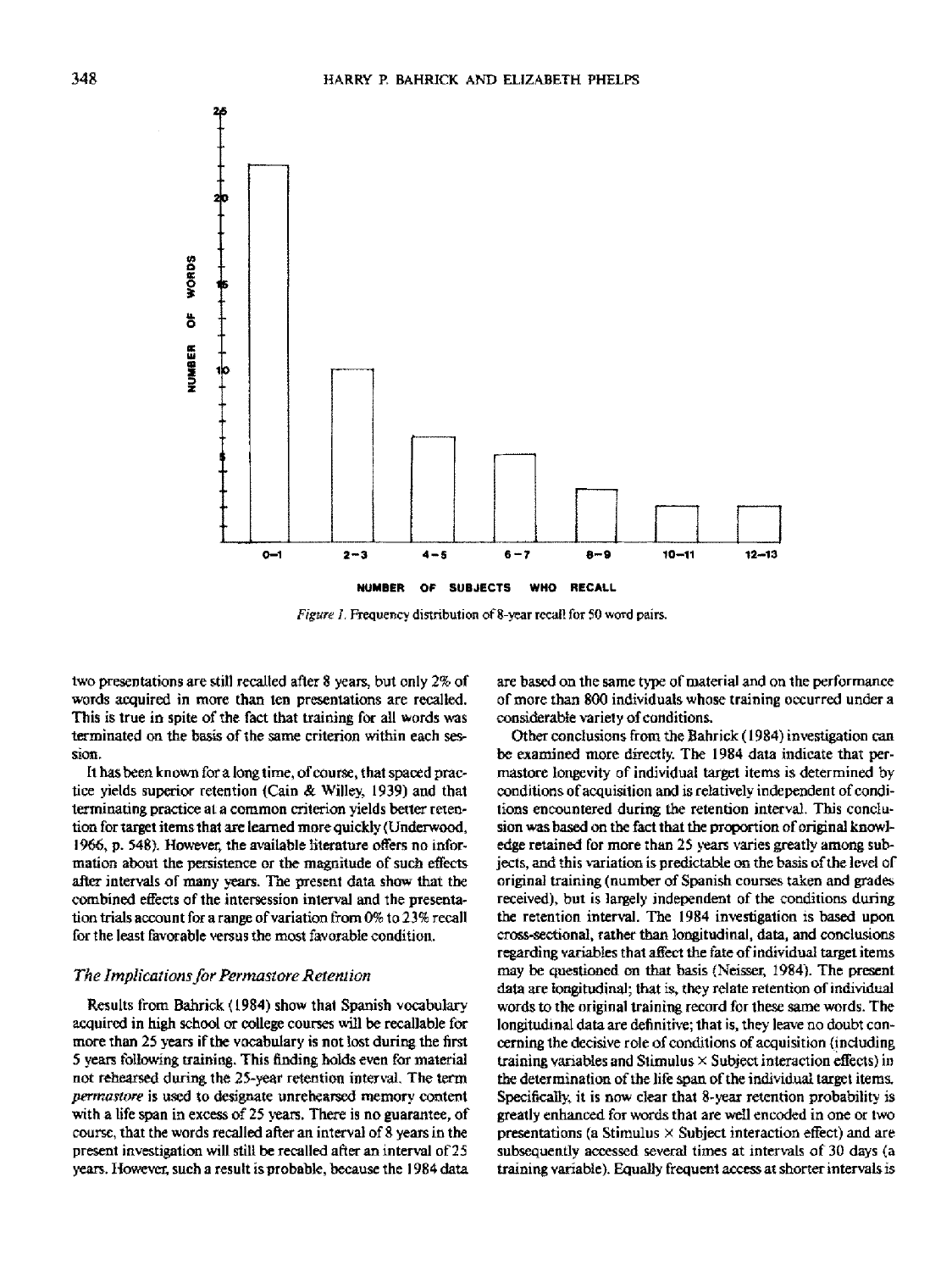

*Figure I,* Frequency distribution of 8-year recall for 50 word pairs.

two presentations are still recalled after 8 years, but only *2%* of words acquired in more than ten presentations are recalled. This is true in spite of the fact that training for all words was terminated on the basis of the same criterion within each session.

It has been known for a long time, of course, that spaced practice yields superior retention (Cain & Willey, 1939) and that terminating practice at a common criterion yields better retention for target items that are learned more quickly (Underwood, 1966, p. 548). However, the available literature offers no information about the persistence or the magnitude of such effects after intervals of many years. The present data show that the combined effects of the intersession interval and the presentation trials account for a range of variation from 0% to 23% recall for the least favorable versus the most favorable condition.

## *The Implications/or Permastore Retention*

Results from Bahrick (1984) show that Spanish vocabulary acquired in high school or college courses will be recallable for more than 25 years if the vocabulary is not lost during the first 5 years following training. This finding holds even for material not rehearsed during the 25-year retention interval. The term *permastore* is used to designate unrehearsed memory content with a life span in excess of 25 years. There is no guarantee, of course, that the words recalled after an interval of 8 years in the present investigation will still be recalled after an interval of 25 years. However, such a result is probable, because the 1984 data

are based on the same type of material and on the performance of more than 800 individuals whose training occurred under a considerable variety of conditions.

Other conclusions from the Bahrick (1984) investigation can be examined more directly. The 1984 data indicate that permastore longevity of individual target items is determined by conditions of acquisition and is relatively independent of conditions encountered during the retention interval. This conclusion was based on the fact that the proportion of original knowledge retained for more than 25 years varies greatly among subjects, and this variation is predictable on the basis of the level of original training (number of Spanish courses taken and grades received), but is largely independent of the conditions during the retention interval. The 1984 investigation is based upon cross-sectional, rather than longitudinal, data, and conclusions regarding variables that affect the fate of individual target items may be questioned on that basis (Neisser, 1984). The present data are longitudinal; that is, they relate retention of individual words to the original training record for these same words. The longitudinal data are definitive; that is, they leave no doubt concerning the decisive role of conditions of acquisition (including training variables and Stimulus  $\times$  Subject interaction effects) in the determination of the life span of the individual target items. Specifically, it is now clear that 8-year retention probability is greatly enhanced for words that are well encoded in one or two presentations (a Stimulus  $\times$  Subject interaction effect) and are subsequently accessed several times at intervals of 30 days (a training variable). Equally frequent access at shorter intervals is